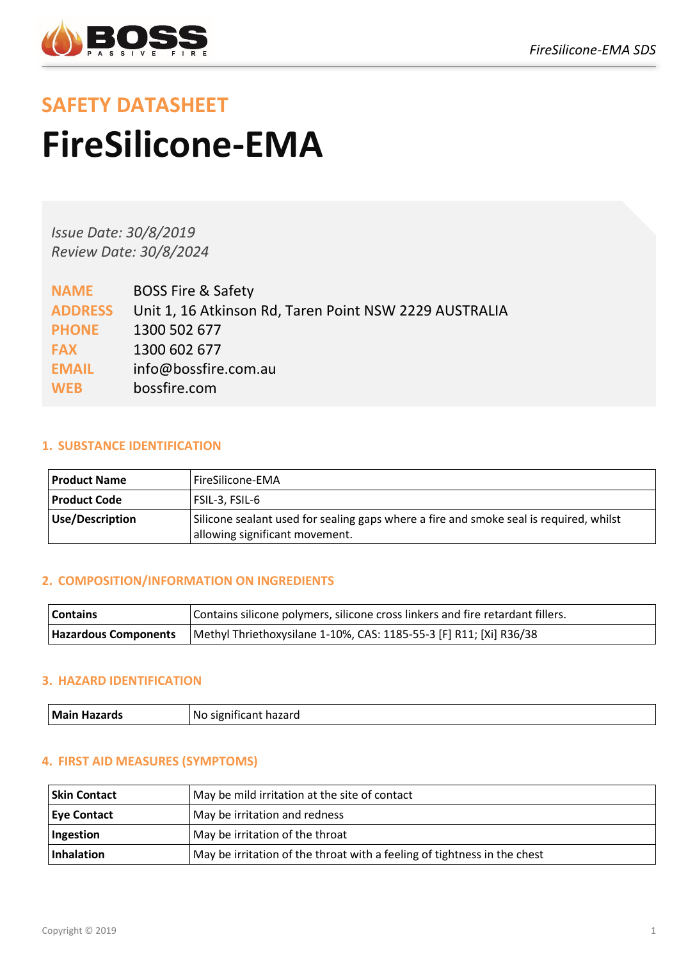

# **SAFETY DATASHEET FireSilicone-EMA**

*Issue Date: 30/8/2019 Review Date: 30/8/2024*

| <b>NAME</b>    | <b>BOSS Fire &amp; Safety</b>                          |
|----------------|--------------------------------------------------------|
| <b>ADDRESS</b> | Unit 1, 16 Atkinson Rd, Taren Point NSW 2229 AUSTRALIA |
| <b>PHONE</b>   | 1300 502 677                                           |
| <b>FAX</b>     | 1300 602 677                                           |
| <b>EMAIL</b>   | info@bossfire.com.au                                   |
| <b>WEB</b>     | bossfire.com                                           |

# **1. SUBSTANCE IDENTIFICATION**

| <b>Product Name</b> | l FireSilicone-EMA                                                                                                       |
|---------------------|--------------------------------------------------------------------------------------------------------------------------|
| <b>Product Code</b> | FSIL-3, FSIL-6                                                                                                           |
| Use/Description     | Silicone sealant used for sealing gaps where a fire and smoke seal is required, whilst<br>allowing significant movement. |

# **2. COMPOSITION/INFORMATION ON INGREDIENTS**

| Contains                    | Contains silicone polymers, silicone cross linkers and fire retardant fillers. |
|-----------------------------|--------------------------------------------------------------------------------|
| <b>Hazardous Components</b> | Methyl Thriethoxysilane 1-10%, CAS: 1185-55-3 [F] R11; [Xi] R36/38             |

## **3. HAZARD IDENTIFICATION**

| l Mai<br>-----<br>Νú<br>arns:<br>aп<br>- 12<br>IZ ALI<br>.<br>. |
|-----------------------------------------------------------------|
|-----------------------------------------------------------------|

## **4. FIRST AID MEASURES (SYMPTOMS)**

| <b>Skin Contact</b> | May be mild irritation at the site of contact                            |
|---------------------|--------------------------------------------------------------------------|
| <b>Eye Contact</b>  | May be irritation and redness                                            |
| Ingestion           | May be irritation of the throat                                          |
| Inhalation          | May be irritation of the throat with a feeling of tightness in the chest |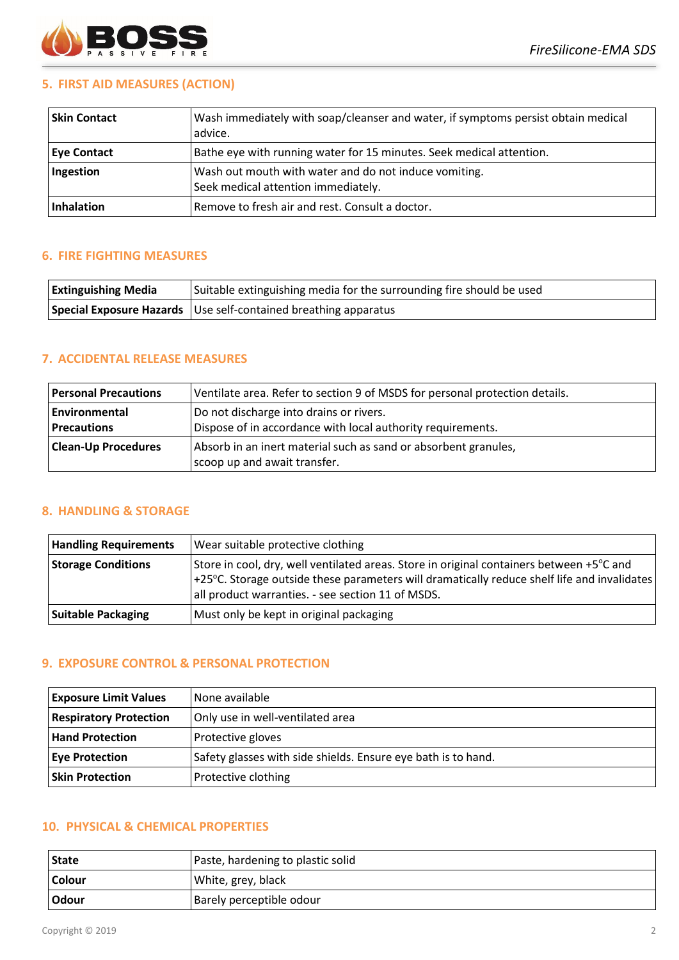

## **5. FIRST AID MEASURES (ACTION)**

| <b>Skin Contact</b> | Wash immediately with soap/cleanser and water, if symptoms persist obtain medical<br>advice. |
|---------------------|----------------------------------------------------------------------------------------------|
| <b>Eye Contact</b>  | Bathe eye with running water for 15 minutes. Seek medical attention.                         |
| Ingestion           | Wash out mouth with water and do not induce vomiting.<br>Seek medical attention immediately. |
| Inhalation          | Remove to fresh air and rest. Consult a doctor.                                              |

#### **6. FIRE FIGHTING MEASURES**

| <b>Extinguishing Media</b> | Suitable extinguishing media for the surrounding fire should be used |
|----------------------------|----------------------------------------------------------------------|
|                            | Special Exposure Hazards Use self-contained breathing apparatus      |

#### **7. ACCIDENTAL RELEASE MEASURES**

| <b>Personal Precautions</b>         | Ventilate area. Refer to section 9 of MSDS for personal protection details.                            |
|-------------------------------------|--------------------------------------------------------------------------------------------------------|
| Environmental<br><b>Precautions</b> | Do not discharge into drains or rivers.<br>Dispose of in accordance with local authority requirements. |
| <b>Clean-Up Procedures</b>          | Absorb in an inert material such as sand or absorbent granules,                                        |
|                                     | scoop up and await transfer.                                                                           |

# **8. HANDLING & STORAGE**

| <b>Handling Requirements</b> | Wear suitable protective clothing                                                                                                                                                                                                                      |
|------------------------------|--------------------------------------------------------------------------------------------------------------------------------------------------------------------------------------------------------------------------------------------------------|
| <b>Storage Conditions</b>    | Store in cool, dry, well ventilated areas. Store in original containers between +5°C and<br>$+25^{\circ}$ C. Storage outside these parameters will dramatically reduce shelf life and invalidates<br>all product warranties. - see section 11 of MSDS. |
| <b>Suitable Packaging</b>    | Must only be kept in original packaging                                                                                                                                                                                                                |

#### **9. EXPOSURE CONTROL & PERSONAL PROTECTION**

| <b>Exposure Limit Values</b>  | l None available                                              |
|-------------------------------|---------------------------------------------------------------|
| <b>Respiratory Protection</b> | Only use in well-ventilated area                              |
| <b>Hand Protection</b>        | Protective gloves                                             |
| <b>Eye Protection</b>         | Safety glasses with side shields. Ensure eye bath is to hand. |
| <b>Skin Protection</b>        | Protective clothing                                           |

## **10. PHYSICAL & CHEMICAL PROPERTIES**

| <b>State</b>  | Paste, hardening to plastic solid |
|---------------|-----------------------------------|
| <b>Colour</b> | White, grey, black                |
| <b>Odour</b>  | Barely perceptible odour          |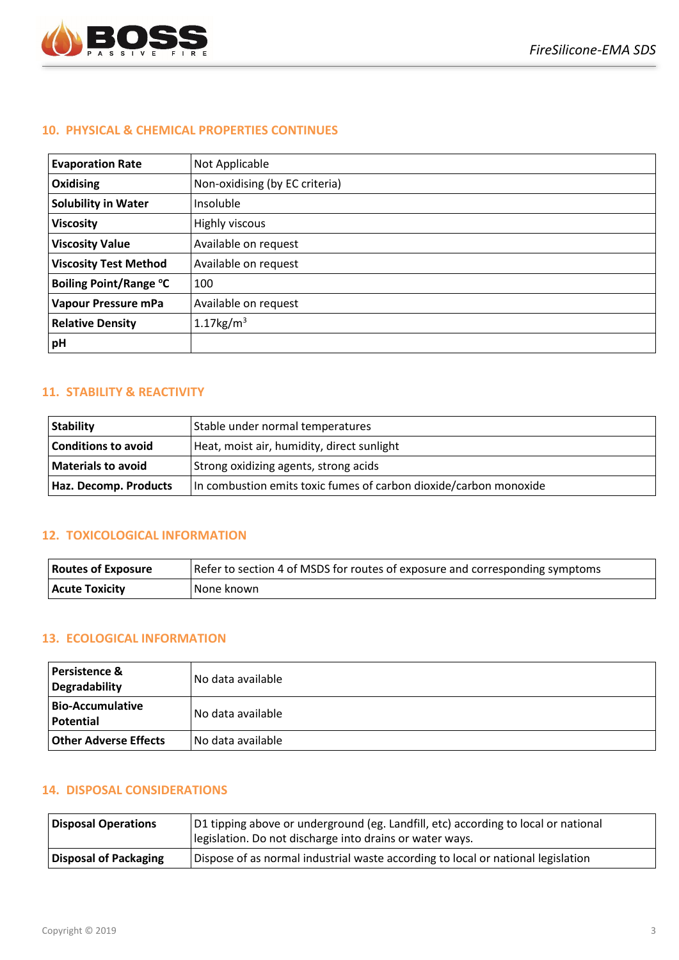

#### **10. PHYSICAL & CHEMICAL PROPERTIES CONTINUES**

| <b>Evaporation Rate</b>       | Not Applicable                 |
|-------------------------------|--------------------------------|
| Oxidising                     | Non-oxidising (by EC criteria) |
| <b>Solubility in Water</b>    | Insoluble                      |
| <b>Viscosity</b>              | Highly viscous                 |
| <b>Viscosity Value</b>        | Available on request           |
| <b>Viscosity Test Method</b>  | Available on request           |
| <b>Boiling Point/Range °C</b> | 100                            |
| Vapour Pressure mPa           | Available on request           |
| <b>Relative Density</b>       | 1.17 $kg/m3$                   |
| pH                            |                                |

## **11. STABILITY & REACTIVITY**

| <b>Stability</b>           | Stable under normal temperatures                                  |
|----------------------------|-------------------------------------------------------------------|
| <b>Conditions to avoid</b> | Heat, moist air, humidity, direct sunlight                        |
| <b>Materials to avoid</b>  | Strong oxidizing agents, strong acids                             |
| Haz. Decomp. Products      | In combustion emits toxic fumes of carbon dioxide/carbon monoxide |

#### **12. TOXICOLOGICAL INFORMATION**

| <b>Routes of Exposure</b> | Refer to section 4 of MSDS for routes of exposure and corresponding symptoms |
|---------------------------|------------------------------------------------------------------------------|
| <b>Acute Toxicity</b>     | I None known                                                                 |

#### **13. ECOLOGICAL INFORMATION**

| <b>Persistence &amp;</b><br><b>Degradability</b> | No data available   |
|--------------------------------------------------|---------------------|
| <b>Bio-Accumulative</b><br>Potential             | No data available   |
| Other Adverse Effects                            | l No data available |

#### **14. DISPOSAL CONSIDERATIONS**

| <b>Disposal Operations</b> | D1 tipping above or underground (eg. Landfill, etc) according to local or national<br>legislation. Do not discharge into drains or water ways. |
|----------------------------|------------------------------------------------------------------------------------------------------------------------------------------------|
| Disposal of Packaging      | Dispose of as normal industrial waste according to local or national legislation                                                               |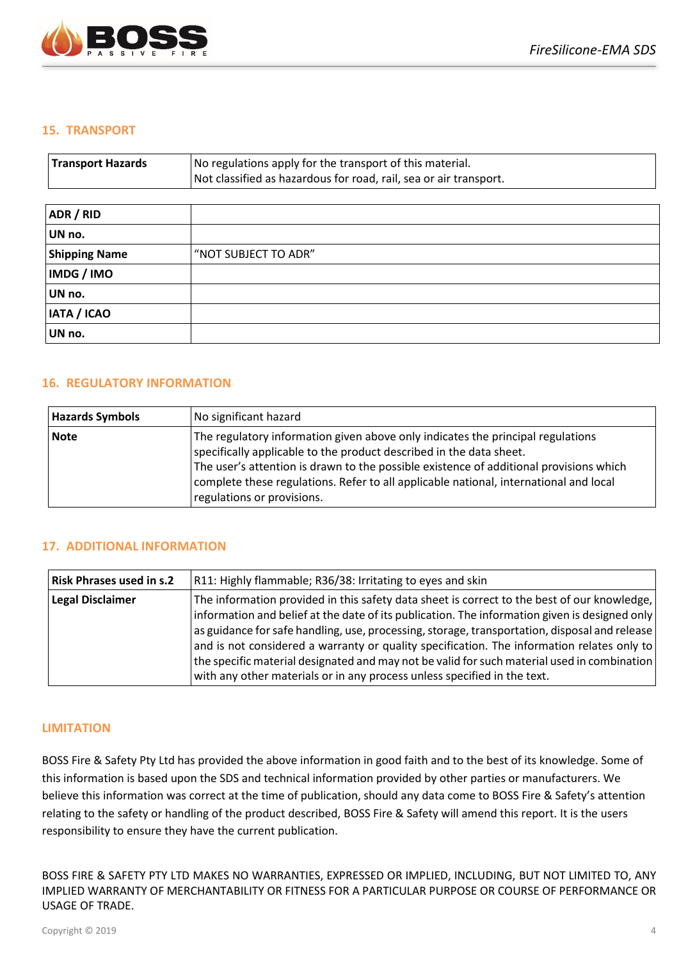

#### **15. TRANSPORT**

| <b>Transport Hazards</b> | No regulations apply for the transport of this material.<br>Not classified as hazardous for road, rail, sea or air transport. |
|--------------------------|-------------------------------------------------------------------------------------------------------------------------------|
| ADR / RID                |                                                                                                                               |
| UN no.                   |                                                                                                                               |
| <b>Shipping Name</b>     | "NOT SUBJECT TO ADR"                                                                                                          |
| IMDG / IMO               |                                                                                                                               |
| UN no.                   |                                                                                                                               |
| IATA / ICAO              |                                                                                                                               |
| UN no.                   |                                                                                                                               |

#### **16. REGULATORY INFORMATION**

| <b>Hazards Symbols</b> | No significant hazard                                                                                                                                                                                                                                                                                                                                                   |
|------------------------|-------------------------------------------------------------------------------------------------------------------------------------------------------------------------------------------------------------------------------------------------------------------------------------------------------------------------------------------------------------------------|
| <b>Note</b>            | The regulatory information given above only indicates the principal regulations<br>specifically applicable to the product described in the data sheet.<br>The user's attention is drawn to the possible existence of additional provisions which<br>complete these regulations. Refer to all applicable national, international and local<br>regulations or provisions. |

#### **17. ADDITIONAL INFORMATION**

| <b>Risk Phrases used in s.2</b> | R11: Highly flammable; R36/38: Irritating to eyes and skin                                                                                                                                                                                                                                                                                                                                                                                                                                                                                                             |
|---------------------------------|------------------------------------------------------------------------------------------------------------------------------------------------------------------------------------------------------------------------------------------------------------------------------------------------------------------------------------------------------------------------------------------------------------------------------------------------------------------------------------------------------------------------------------------------------------------------|
| <b>Legal Disclaimer</b>         | The information provided in this safety data sheet is correct to the best of our knowledge,<br>information and belief at the date of its publication. The information given is designed only<br>as guidance for safe handling, use, processing, storage, transportation, disposal and release<br>and is not considered a warranty or quality specification. The information relates only to<br>the specific material designated and may not be valid for such material used in combination<br>with any other materials or in any process unless specified in the text. |

#### **LIMITATION**

BOSS Fire & Safety Pty Ltd has provided the above information in good faith and to the best of its knowledge. Some of this information is based upon the SDS and technical information provided by other parties or manufacturers. We believe this information was correct at the time of publication, should any data come to BOSS Fire & Safety's attention relating to the safety or handling of the product described, BOSS Fire & Safety will amend this report. It is the users responsibility to ensure they have the current publication.

BOSS FIRE & SAFETY PTY LTD MAKES NO WARRANTIES, EXPRESSED OR IMPLIED, INCLUDING, BUT NOT LIMITED TO, ANY IMPLIED WARRANTY OF MERCHANTABILITY OR FITNESS FOR A PARTICULAR PURPOSE OR COURSE OF PERFORMANCE OR USAGE OF TRADE.